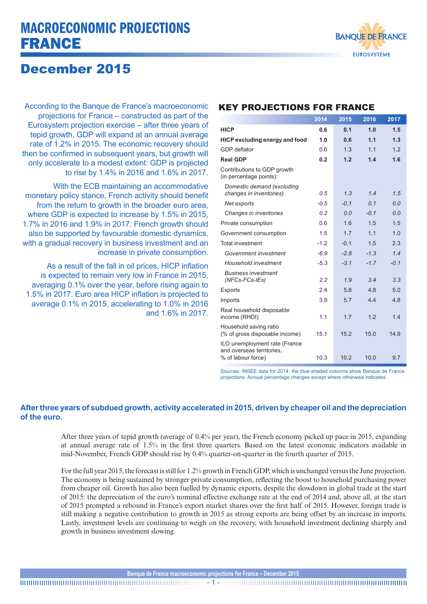# MACROECONOMIC PROJECTIONS FRANCE



## December 2015

According to the Banque de France's macroeconomic projections for France – constructed as part of the Eurosystem projection exercise – after three years of tepid growth, GDP will expand at an annual average rate of 1.2% in 2015. The economic recovery should then be confirmed in subsequent years, but growth will only accelerate to a modest extent: GDP is projected to rise by 1.4% in 2016 and 1.6% in 2017.

With the ECB maintaining an accommodative monetary policy stance, French activity should benefit from the return to growth in the broader euro area, where GDP is expected to increase by 1.5% in 2015, 1.7% in 2016 and 1.9% in 2017. French growth should also be supported by favourable domestic dynamics, with a gradual recovery in business investment and an increase in private consumption.

As a result of the fall in oil prices, HICP inflation is expected to remain very low in France in 2015, averaging 0.1% over the year, before rising again to 1.5% in 2017. Euro area HICP inflation is projected to average 0.1% in 2015, accelerating to 1.0% in 2016 and 1.6% in 2017.

### KEY PROJECTIONS FOR FRANCE

|                                                                                  | 2014   | 2015   | 2016           | 2017   |
|----------------------------------------------------------------------------------|--------|--------|----------------|--------|
| <b>HICP</b>                                                                      | 0.6    | 0.1    | 1.0            | 1.5    |
| <b>HICP excluding energy and food</b>                                            | 1.0    | 0.6    | 1.1            | 1.3    |
| GDP deflator                                                                     | 06     | 1.3    | 1 <sub>1</sub> | 12     |
| <b>Real GDP</b>                                                                  | 0.2    | 1.2    | 1.4            | 1.6    |
| Contributions to GDP growth<br>(in percentage points):                           |        |        |                |        |
| Domestic demand (excluding<br>changes in inventories)                            | 0.5    | 1.3    | 1.4            | 1.5    |
| Net exports                                                                      | $-0.5$ | $-0.1$ | 0.1            | 0.0    |
| Changes in inventories                                                           | 0.2    | 0.0    | $-0.1$         | 0.0    |
| Private consumption                                                              | 06     | 16     | 1.5            | 1.5    |
| Government consumption                                                           | 1.5    | 1.7    | 11             | 1.0    |
| <b>Total investment</b>                                                          | $-1.2$ | $-0.1$ | 1.5            | 2.3    |
| Government investment                                                            | $-6.9$ | $-2.8$ | $-1.3$         | 14     |
| Household investment                                                             | $-5.3$ | $-3.1$ | $-17$          | $-0.1$ |
| <b>Business investment</b><br>(NFCs-FCs-IEs)                                     | 2.2    | 1.9    | 3.4            | 3.3    |
| Exports                                                                          | 2.4    | 5.8    | 48             | 5.0    |
| Imports                                                                          | 3.9    | 5.7    | 4.4            | 4.8    |
| Real household disposable<br>income (RHDI)                                       | 1.1    | 1.7    | 1.2            | 1.4    |
| Household saving ratio<br>(% of gross disposable income)                         | 15.1   | 15.2   | 15.0           | 14.9   |
| ILO unemployment rate (France<br>and overseas territories.<br>% of labour force) | 10.3   | 10.2   | 10.0           | 9.7    |

Sources: INSEE data for 2014; the blue-shaded columns show Banque de France projections. Annual percentage changes except where otherwise indicated.

### **After three years of subdued growth, activity accelerated in 2015, driven by cheaper oil and the depreciation of the euro.**

After three years of tepid growth (average of 0.4% per year), the French economy picked up pace in 2015, expanding at annual average rate of 1.5% in the first three quarters. Based on the latest economic indicators available in mid-November, French GDP should rise by 0.4% quarter-on-quarter in the fourth quarter of 2015.

For the full year 2015, the forecast is still for 1.2% growth in French GDP, which is unchanged versus the June projection. The economy is being sustained by stronger private consumption, reflecting the boost to household purchasing power from cheaper oil. Growth has also been fuelled by dynamic exports, despite the slowdown in global trade at the start of 2015: the depreciation of the euro's nominal effective exchange rate at the end of 2014 and, above all, at the start of 2015 prompted a rebound in France's export market shares over the first half of 2015. However, foreign trade is still making a negative contribution to growth in 2015 as strong exports are being offset by an increase in imports. Lastly, investment levels are continuing to weigh on the recovery, with household investment declining sharply and growth in business investment slowing.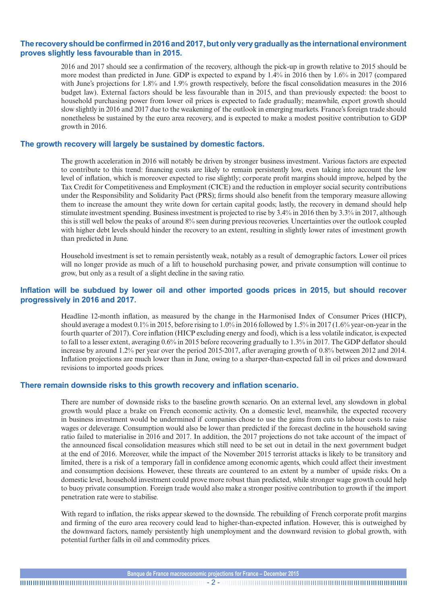#### **The recovery should be confirmed in2016 and2017, but only very gradually as the international environment proves slightly less favourable than in 2015.**

2016 and 2017 should see a confirmation of the recovery, although the pick-up in growth relative to 2015 should be more modest than predicted in June. GDP is expected to expand by 1.4% in 2016 then by 1.6% in 2017 (compared with June's projections for 1.8% and 1.9% growth respectively, before the fiscal consolidation measures in the 2016 budget law). External factors should be less favourable than in 2015, and than previously expected: the boost to household purchasing power from lower oil prices is expected to fade gradually; meanwhile, export growth should slow slightly in 2016 and 2017 due to the weakening of the outlook in emerging markets. France's foreign trade should nonetheless be sustained by the euro area recovery, and is expected to make a modest positive contribution to GDP growth in 2016.

#### **The growth recovery will largely be sustained by domestic factors.**

The growth acceleration in 2016 will notably be driven by stronger business investment. Various factors are expected to contribute to this trend: financing costs are likely to remain persistently low, even taking into account the low level of inflation, which is moreover expected to rise slightly; corporate profit margins should improve, helped by the Tax Credit for Competitiveness and Employment (CICE) and the reduction in employer social security contributions under the Responsibility and Solidarity Pact (PRS); firms should also benefit from the temporary measure allowing them to increase the amount they write down for certain capital goods; lastly, the recovery in demand should help stimulate investment spending. Business investment is projected to rise by 3.4% in 2016 then by 3.3% in 2017, although this is still well below the peaks of around 8% seen during previous recoveries. Uncertainties over the outlook coupled with higher debt levels should hinder the recovery to an extent, resulting in slightly lower rates of investment growth than predicted in June.

Household investment is set to remain persistently weak, notably as a result of demographic factors. Lower oil prices will no longer provide as much of a lift to household purchasing power, and private consumption will continue to grow, but only as a result of a slight decline in the saving ratio.

#### **Inflation will be subdued by lower oil and other imported goods prices in 2015, but should recover progressively in 2016 and 2017.**

Headline 12‑month inflation, as measured by the change in the Harmonised Index of Consumer Prices (HICP), should average a modest 0.1% in 2015, before rising to 1.0% in 2016 followed by 1.5% in 2017 (1.6% year-on-year in the fourth quarter of 2017). Core inflation (HICP excluding energy and food), which is a less volatile indicator, is expected to fall to a lesser extent, averaging 0.6% in 2015 before recovering gradually to 1.3% in 2017. The GDP deflator should increase by around 1.2% per year over the period 2015-2017, after averaging growth of 0.8% between 2012 and 2014. Inflation projections are much lower than in June, owing to a sharper-than-expected fall in oil prices and downward revisions to imported goods prices.

#### **There remain downside risks to this growth recovery and inflation scenario.**

There are number of downside risks to the baseline growth scenario. On an external level, any slowdown in global growth would place a brake on French economic activity. On a domestic level, meanwhile, the expected recovery in business investment would be undermined if companies chose to use the gains from cuts to labour costs to raise wages or deleverage. Consumption would also be lower than predicted if the forecast decline in the household saving ratio failed to materialise in 2016 and 2017. In addition, the 2017 projections do not take account of the impact of the announced fiscal consolidation measures which still need to be set out in detail in the next government budget at the end of 2016. Moreover, while the impact of the November 2015 terrorist attacks is likely to be transitory and limited, there is a risk of a temporary fall in confidence among economic agents, which could affect their investment and consumption decisions. However, these threats are countered to an extent by a number of upside risks. On a domestic level, household investment could prove more robust than predicted, while stronger wage growth could help to buoy private consumption. Foreign trade would also make a stronger positive contribution to growth if the import penetration rate were to stabilise.

With regard to inflation, the risks appear skewed to the downside. The rebuilding of French corporate profit margins and firming of the euro area recovery could lead to higher-than-expected inflation. However, this is outweighed by the downward factors, namely persistently high unemployment and the downward revision to global growth, with potential further falls in oil and commodity prices.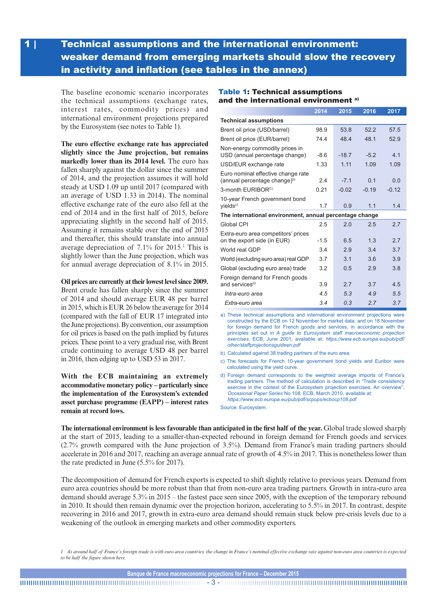### 1 | Technical assumptions and the international environment: weaker demand from emerging markets should slow the recovery in activity and inflation (see tables in the annex)

The baseline economic scenario incorporates the technical assumptions (exchange rates, interest rates, commodity prices) and international environment projections prepared by the Eurosystem (see notes to Table 1).

**The euro effective exchange rate has appreciated slightly since the June projection, but remains markedly lower than its 2014 level.** The euro has fallen sharply against the dollar since the summer of 2014, and the projection assumes it will hold steady at USD 1.09 up until 2017 (compared with an average of USD 1.33 in 2014). The nominal effective exchange rate of the euro also fell at the end of 2014 and in the first half of 2015, before appreciating slightly in the second half of 2015. Assuming it remains stable over the end of 2015 and thereafter, this should translate into annual average depreciation of 7.1% for 2015.1 This is slightly lower than the June projection, which was for annual average depreciation of 8.1% in 2015.

#### **Oil prices are currently at their lowest level since 2009.**

Brent crude has fallen sharply since the summer of 2014 and should average EUR 48 per barrel in 2015, which is EUR 26 below the average for 2014 (compared with the fall of EUR 17 integrated into the June projections). By convention, our assumption for oil prices is based on the path implied by futures prices. These point to a very gradual rise, with Brent crude continuing to average USD 48 per barrel in 2016, then edging up to USD 53 in 2017.

**With the ECB maintaining an extremely accommodative monetary policy – particularly since the implementation of the Eurosystem's extended asset purchase programme (EAPP) – interest rates remain at record lows.**

#### Table 1: Technical assumptions and the international environment<sup>a)</sup>

|                                                                                | 2014   | 2015    | 2016    | 2017    |  |  |  |
|--------------------------------------------------------------------------------|--------|---------|---------|---------|--|--|--|
| <b>Technical assumptions</b>                                                   |        |         |         |         |  |  |  |
| Brent oil price (USD/barrel)                                                   | 98.9   | 53.8    | 52.2    | 57.5    |  |  |  |
| Brent oil price (EUR/barrel)                                                   | 74.4   | 48.4    | 48.1    | 52.9    |  |  |  |
| Non-energy commodity prices in<br>USD (annual percentage change)               | $-8.6$ | $-18.7$ | $-5.2$  | 4.1     |  |  |  |
| USD/EUR exchange rate                                                          | 1.33   | 1.11    | 1.09    | 1.09    |  |  |  |
| Euro nominal effective change rate<br>(annual percentage change) <sup>b)</sup> | 2.4    | $-7.1$  | 0.1     | 0.0     |  |  |  |
| 3-month EURIBOR <sup>C)</sup>                                                  | 0.21   | $-0.02$ | $-0.19$ | $-0.12$ |  |  |  |
| 10-year French government bond<br>yields <sup>c)</sup>                         | 1.7    | 0.9     | 1.1     | 1.4     |  |  |  |
| The international environment, annual percentage change                        |        |         |         |         |  |  |  |
| Global CPI                                                                     | 2.5    | 2.0     | 2.5     | 2.7     |  |  |  |
| Extra-euro area competitors' prices<br>on the export side (in EUR)             | $-1.5$ | 6.5     | 1.3     | 2.7     |  |  |  |
| World real GDP                                                                 | 3.4    | 2.9     | 3.4     | 3.7     |  |  |  |
| World (excluding euro area) real GDP                                           | 3.7    | 3.1     | 3.6     | 3.9     |  |  |  |
| Global (excluding euro area) trade                                             | 3.2    | 0.5     | 2.9     | 3.8     |  |  |  |
| Foreign demand for French goods<br>and services <sup>d)</sup>                  | 3.9    | 2.7     | 3.7     | 4.5     |  |  |  |
| Intra-euro area                                                                | 4.5    | 5.3     | 4.9     | 5.5     |  |  |  |
| Extra-euro area                                                                | 3.4    | 0.3     | 2.7     | 3.7     |  |  |  |

a) These technical assumptions and international environment projections were constructed by the ECB on 12 November for market data, and on 18 November for foreign demand for French goods and services, in accordance with the principles set out in *A guide to Eurosystem staff macroeconomic projection exercises*, ECB, June 2001, available at: *[https://www.ecb.europa.eu/pub/pdf/](https://www.ecb.europa.eu/pub/pdf/other/staffprojectionsguideen.pdf) [other/staffprojectionsguideen.pdf](https://www.ecb.europa.eu/pub/pdf/other/staffprojectionsguideen.pdf)* 

- b) Calculated against 38 trading partners of the euro area.
- c) The forecasts for French 10-year government bond yields and Euribor were calculated using the yield curve.
- d) Foreign demand corresponds to the weighted average imports of France's trading partners. The method of calculation is described in "Trade consistency exercise in the context of the Eurosystem projection exercises: An overview", *Occasional Paper Series* No 108, ECB, March 2010, available at: d) *<https://www.ecb.europa.eu/pub/pdf/scpops/ecbocp108.pdf>*

Source: Eurosystem.

**The international environment is less favourable than anticipated in the first half of the year.** Global trade slowed sharply at the start of 2015, leading to a smaller-than-expected rebound in foreign demand for French goods and services (2.7% growth compared with the June projection of 3.5%). Demand from France's main trading partners should accelerate in 2016 and 2017, reaching an average annual rate of growth of 4.5% in 2017. This is nonetheless lower than the rate predicted in June (5.5% for 2017).

The decomposition of demand for French exports is expected to shift slightly relative to previous years. Demand from euro area countries should be more robust than that from non-euro area trading partners. Growth in intra-euro area demand should average 5.3% in 2015 – the fastest pace seen since 2005, with the exception of the temporary rebound in 2010. It should then remain dynamic over the projection horizon, accelerating to 5.5% in 2017. In contrast, despite recovering in 2016 and 2017, growth in extra-euro area demand should remain stuck below pre-crisis levels due to a weakening of the outlook in emerging markets and other commodity exporters.

*1 As around half of France's foreign trade is with euro area countries, the change in France's nominal effective exchange rate against non-euro area countries is expected to be half the figure shown here.*

**Banque de France macroeconomic projections for France – December 2015**

- 3 -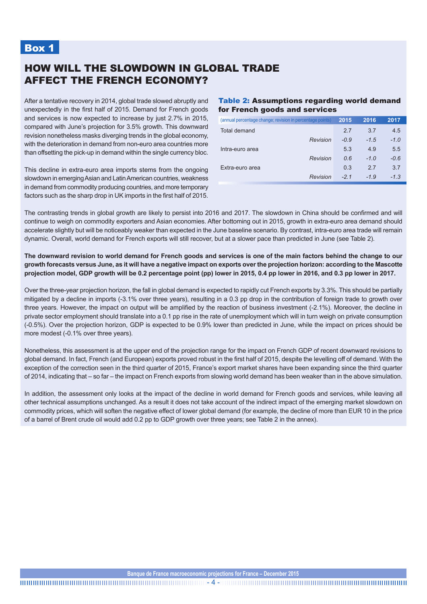### Box 1

### HOW WILL THE SLOWDOWN IN GLOBAL TRADE AFFECT THE FRENCH ECONOMY?

After a tentative recovery in 2014, global trade slowed abruptly and unexpectedly in the first half of 2015. Demand for French goods and services is now expected to increase by just 2.7% in 2015, compared with June's projection for 3.5% growth. This downward revision nonetheless masks diverging trends in the global economy, with the deterioration in demand from non-euro area countries more than offsetting the pick-up in demand within the single currency bloc.

This decline in extra-euro area imports stems from the ongoing slowdown in emerging Asian and Latin American countries, weakness in demand from commodity producing countries, and more temporary factors such as the sharp drop in UK imports in the first half of 2015.

#### Table 2: Assumptions regarding world demand for French goods and services

| (annual percentage change; revision in percentage points) | 2015   | 2016   | 2017   |
|-----------------------------------------------------------|--------|--------|--------|
| Total demand                                              | 2.7    | 3.7    | 4.5    |
| Revision                                                  | $-0.9$ | $-1.5$ | $-1.0$ |
| Intra-euro area                                           | 5.3    | 4.9    | 5.5    |
| Revision                                                  | 0.6    | $-1.0$ | $-0.6$ |
| Extra-euro area                                           | 0.3    | 27     | 3.7    |
| Revision                                                  | $-21$  | $-1.9$ | $-1.3$ |

The contrasting trends in global growth are likely to persist into 2016 and 2017. The slowdown in China should be confirmed and will continue to weigh on commodity exporters and Asian economies. After bottoming out in 2015, growth in extra-euro area demand should accelerate slightly but will be noticeably weaker than expected in the June baseline scenario. By contrast, intra-euro area trade will remain dynamic. Overall, world demand for French exports will still recover, but at a slower pace than predicted in June (see Table 2).

**The downward revision to world demand for French goods and services is one of the main factors behind the change to our growth forecasts versus June, as it will have a negative impact on exports over the projection horizon: according to the Mascotte projection model, GDP growth will be 0.2 percentage point (pp) lower in 2015, 0.4 pp lower in 2016, and 0.3 pp lower in 2017.**

Over the three-year projection horizon, the fall in global demand is expected to rapidly cut French exports by 3.3%. This should be partially mitigated by a decline in imports (-3.1% over three years), resulting in a 0.3 pp drop in the contribution of foreign trade to growth over three years. However, the impact on output will be amplified by the reaction of business investment (-2.1%). Moreover, the decline in private sector employment should translate into a 0.1 pp rise in the rate of unemployment which will in turn weigh on private consumption (-0.5%). Over the projection horizon, GDP is expected to be 0.9% lower than predicted in June, while the impact on prices should be more modest (-0.1% over three years).

Nonetheless, this assessment is at the upper end of the projection range for the impact on French GDP of recent downward revisions to global demand. In fact, French (and European) exports proved robust in the first half of 2015, despite the levelling off of demand. With the exception of the correction seen in the third quarter of 2015, France's export market shares have been expanding since the third quarter of 2014, indicating that – so far – the impact on French exports from slowing world demand has been weaker than in the above simulation.

In addition, the assessment only looks at the impact of the decline in world demand for French goods and services, while leaving all other technical assumptions unchanged. As a result it does not take account of the indirect impact of the emerging market slowdown on commodity prices, which will soften the negative effect of lower global demand (for example, the decline of more than EUR 10 in the price of a barrel of Brent crude oil would add 0.2 pp to GDP growth over three years; see Table 2 in the annex).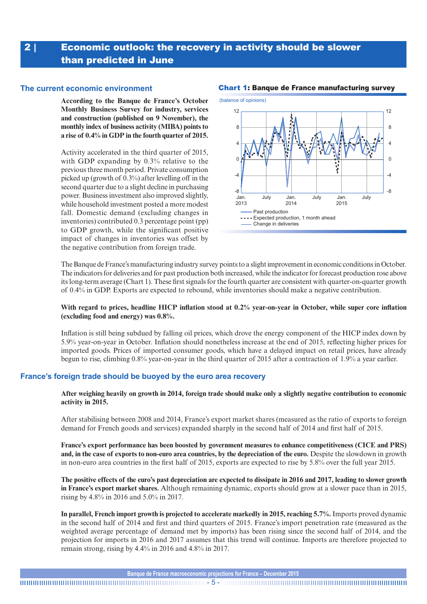### 2 | Economic outlook: the recovery in activity should be slower than predicted in June

#### **The current economic environment**

**According to the Banque de France's October Monthly Business Survey for industry, services and construction (published on 9 November), the monthly index of business activity (MIBA) points to a rise of 0.4% in GDP in the fourth quarter of 2015.**

Activity accelerated in the third quarter of 2015, with GDP expanding by 0.3% relative to the previous three month period. Private consumption picked up (growth of 0.3%) after levelling off in the second quarter due to a slight decline in purchasing power. Business investment also improved slightly, while household investment posted a more modest fall. Domestic demand (excluding changes in inventories) contributed 0.3 percentage point (pp) to GDP growth, while the significant positive impact of changes in inventories was offset by the negative contribution from foreign trade.



#### Chart 1: Banque de France manufacturing survey

The Banque de France's manufacturing industry survey points to a slight improvement in economic conditions in October. The indicators for deliveries and for past production both increased, while the indicator for forecast production rose above its long-term average (Chart 1). These first signals for the fourth quarter are consistent with quarter-on-quarter growth of 0.4% in GDP. Exports are expected to rebound, while inventories should make a negative contribution.

#### **With regard to prices, headline HICP inflation stood at 0.2% year-on-year in October, while super core inflation (excluding food and energy) was 0.8%.**

Inflation is still being subdued by falling oil prices, which drove the energy component of the HICP index down by 5.9% year-on-year in October. Inflation should nonetheless increase at the end of 2015, reflecting higher prices for imported goods. Prices of imported consumer goods, which have a delayed impact on retail prices, have already begun to rise, climbing 0.8% year-on-year in the third quarter of 2015 after a contraction of 1.9% a year earlier.

#### **France's foreign trade should be buoyed by the euro area recovery**

**After weighing heavily on growth in 2014, foreign trade should make only a slightly negative contribution to economic activity in 2015.**

After stabilising between 2008 and 2014, France's export market shares (measured as the ratio of exports to foreign demand for French goods and services) expanded sharply in the second half of 2014 and first half of 2015.

**France's export performance has been boosted by government measures to enhance competitiveness (CICE and PRS) and, in the case of exports to non-euro area countries, by the depreciation of the euro.** Despite the slowdown in growth in non-euro area countries in the first half of 2015, exports are expected to rise by 5.8% over the full year 2015.

**The positive effects of the euro's past depreciation are expected to dissipate in 2016 and 2017, leading to slower growth in France's export market shares.** Although remaining dynamic, exports should grow at a slower pace than in 2015, rising by 4.8% in 2016 and 5.0% in 2017.

**In parallel, French import growth is projected to accelerate markedly in 2015, reaching 5.7%.** Imports proved dynamic in the second half of 2014 and first and third quarters of 2015. France's import penetration rate (measured as the weighted average percentage of demand met by imports) has been rising since the second half of 2014, and the projection for imports in 2016 and 2017 assumes that this trend will continue. Imports are therefore projected to remain strong, rising by 4.4% in 2016 and 4.8% in 2017.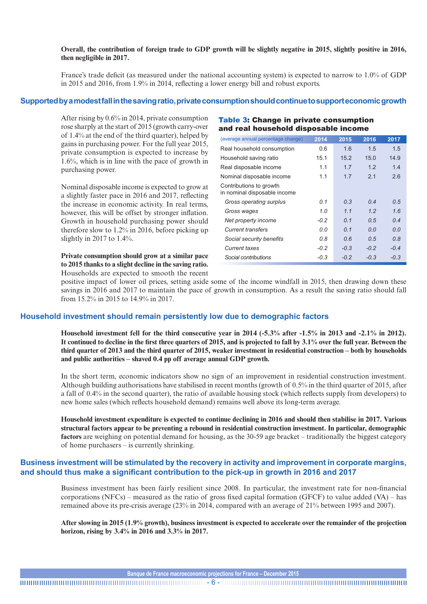#### **Overall, the contribution of foreign trade to GDP growth will be slightly negative in 2015, slightly positive in 2016, then negligible in 2017.**

France's trade deficit (as measured under the national accounting system) is expected to narrow to 1.0% of GDP in 2015 and 2016, from 1.9% in 2014, reflecting a lower energy bill and robust exports.

#### **Supported by a modest fall in the saving ratio, private consumption should continue to support economicgrowth**

After rising by 0.6% in 2014, private consumption rose sharply at the start of 2015 (growth carry‑over of 1.4% at the end of the third quarter), helped by gains in purchasing power. For the full year 2015, private consumption is expected to increase by 1.6%, which is in line with the pace of growth in purchasing power.

Nominal disposable income is expected to grow at a slightly faster pace in 2016 and 2017, reflecting the increase in economic activity. In real terms, however, this will be offset by stronger inflation. Growth in household purchasing power should therefore slow to 1.2% in 2016, before picking up slightly in 2017 to 1.4%.

**Private consumption should grow at a similar pace to 2015 thanks to a slight decline in the saving ratio.** Households are expected to smooth the recent

#### and real household disposable income (average annual percentage change) **2014 2015 2016 2017** Real household consumption  $0.6$  1.6 1.5 1.5 Household saving ratio 15.1 15.2 15.0 14.9 Real disposable income 1.1 1.7 1.2 1.4 Nominal disposable income 1.1 1.7 2.1 2.6 Contributions to growth in nominal disposable income *Gross operating surplus 0.1 0.3 0.4 0.5 Gross wages 1.0 1.1 1.2 1.6 Net property income -0.2 0.1 0.5 0.4 Current transfers 0.0 0.1 0.0 0.0 Social security benefits 0.8 0.6 0.5 0.8*

*Current taxes -0.2 -0.3 -0.2 -0.4 Social contributions -0.3 -0.2 -0.3 -0.3*

Table 3: Change in private consumption

positive impact of lower oil prices, setting aside some of the income windfall in 2015, then drawing down these savings in 2016 and 2017 to maintain the pace of growth in consumption. As a result the saving ratio should fall from 15.2% in 2015 to 14.9% in 2017.

#### **Household investment should remain persistently low due to demographic factors**

**Household investment fell for the third consecutive year in 2014 (-5.3% after -1.5% in 2013 and -2.1% in 2012). It continued to decline in the first three quarters of 2015, and is projected to fall by 3.1% over the full year. Between the third quarter of 2013 and the third quarter of 2015, weaker investment in residential construction – both by households and public authorities – shaved 0.4 pp off average annual GDP growth.**

In the short term, economic indicators show no sign of an improvement in residential construction investment. Although building authorisations have stabilised in recent months (growth of 0.5% in the third quarter of 2015, after a fall of 0.4% in the second quarter), the ratio of available housing stock (which reflects supply from developers) to new home sales (which reflects household demand) remains well above its long-term average.

**Household investment expenditure is expected to continue declining in 2016 and should then stabilise in 2017. Various structural factors appear to be preventing a rebound in residential construction investment. In particular, demographic factors** are weighing on potential demand for housing, as the 30-59 age bracket – traditionally the biggest category of home purchasers – is currently shrinking.

#### **Business investment will be stimulated by the recovery in activity and improvement in corporate margins, and should thus make a significant contribution to the pick-up in growth in 2016 and 2017**

Business investment has been fairly resilient since 2008. In particular, the investment rate for non-financial corporations (NFCs) – measured as the ratio of gross fixed capital formation (GFCF) to value added (VA) – has remained above its pre-crisis average (23% in 2014, compared with an average of 21% between 1995 and 2007).

**After slowing in 2015 (1.9% growth), business investment is expected to accelerate over the remainder of the projection horizon, rising by 3.4% in 2016 and 3.3% in 2017.**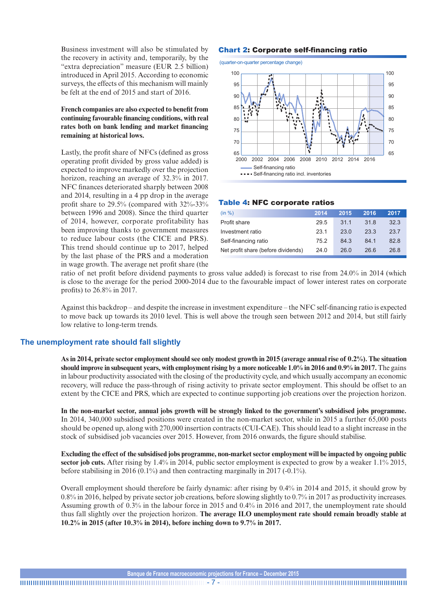Business investment will also be stimulated by the recovery in activity and, temporarily, by the "extra depreciation" measure (EUR 2.5 billion) introduced in April 2015. According to economic surveys, the effects of this mechanism will mainly be felt at the end of 2015 and start of 2016.

**French companies are also expected to benefit from continuing favourable financing conditions, with real rates both on bank lending and market financing remaining at historical lows.** 

Lastly, the profit share of NFCs (defined as gross operating profit divided by gross value added) is expected to improve markedly over the projection horizon, reaching an average of 32.3% in 2017. NFC finances deteriorated sharply between 2008 and 2014, resulting in a 4 pp drop in the average profit share to 29.5% (compared with 32%-33% between 1996 and 2008). Since the third quarter of 2014, however, corporate profitability has been improving thanks to government measures to reduce labour costs (the CICE and PRS). This trend should continue up to 2017, helped by the last phase of the PRS and a moderation in wage growth. The average net profit share (the

#### Chart 2: Corporate self-financing ratio

(quarter-on-quarter percentage change)



#### Table 4: NFC corporate ratios

| (in %)                              | 2014 | 2015 | 2016 | 2017 |
|-------------------------------------|------|------|------|------|
| Profit share                        | 29.5 | 31.1 | 31.8 | 32.3 |
| Investment ratio                    | 23.1 | 23.0 | 23.3 | 23.7 |
| Self-financing ratio                | 75.2 | 84 3 | 84.1 | 82.8 |
| Net profit share (before dividends) | 24.0 | 26.0 | 26.6 | 26.8 |

ratio of net profit before dividend payments to gross value added) is forecast to rise from 24.0% in 2014 (which is close to the average for the period 2000-2014 due to the favourable impact of lower interest rates on corporate profits) to 26.8% in 2017.

Against this backdrop – and despite the increase in investment expenditure – the NFC self-financing ratio is expected to move back up towards its 2010 level. This is well above the trough seen between 2012 and 2014, but still fairly low relative to long-term trends.

#### **The unemployment rate should fall slightly**

**As in 2014, private sector employment should see only modest growth in 2015 (average annual rise of 0.2%). The situation**  should improve in subsequent years, with employment rising by a more noticeable 1.0% in 2016 and 0.9% in 2017. The gains in labour productivity associated with the closing of the productivity cycle, and which usually accompany an economic recovery, will reduce the pass-through of rising activity to private sector employment. This should be offset to an extent by the CICE and PRS, which are expected to continue supporting job creations over the projection horizon.

In the non-market sector, annual jobs growth will be strongly linked to the government's subsidised jobs programme. In 2014, 340,000 subsidised positions were created in the non-market sector, while in 2015 a further 65,000 posts should be opened up, along with 270,000 insertion contracts (CUI-CAE). This should lead to a slight increase in the stock of subsidised job vacancies over 2015. However, from 2016 onwards, the figure should stabilise.

**Excluding the effect of the subsidised jobs programme, non-market sector employment will be impacted by ongoing public sector job cuts.** After rising by 1.4% in 2014, public sector employment is expected to grow by a weaker 1.1% 2015, before stabilising in 2016 (0.1%) and then contracting marginally in 2017 (-0.1%).

Overall employment should therefore be fairly dynamic: after rising by 0.4% in 2014 and 2015, it should grow by 0.8% in 2016, helped by private sector job creations, before slowing slightly to 0.7% in 2017 as productivity increases. Assuming growth of 0.3% in the labour force in 2015 and 0.4% in 2016 and 2017, the unemployment rate should thus fall slightly over the projection horizon. **The average ILO unemployment rate should remain broadly stable at 10.2% in 2015 (after 10.3% in 2014), before inching down to 9.7% in 2017.**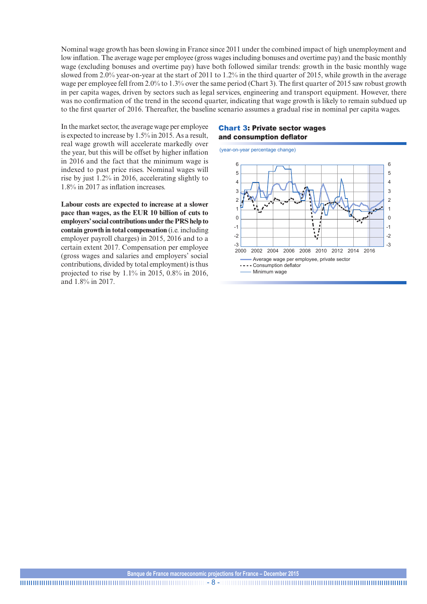Nominal wage growth has been slowing in France since 2011 under the combined impact of high unemployment and low inflation. The average wage per employee (gross wages including bonuses and overtime pay) and the basic monthly wage (excluding bonuses and overtime pay) have both followed similar trends: growth in the basic monthly wage slowed from 2.0% year-on-year at the start of 2011 to 1.2% in the third quarter of 2015, while growth in the average wage per employee fell from 2.0% to 1.3% over the same period (Chart 3). The first quarter of 2015 saw robust growth in per capita wages, driven by sectors such as legal services, engineering and transport equipment. However, there was no confirmation of the trend in the second quarter, indicating that wage growth is likely to remain subdued up to the first quarter of 2016. Thereafter, the baseline scenario assumes a gradual rise in nominal per capita wages.

In the market sector, the average wage per employee is expected to increase by 1.5% in 2015. As a result, real wage growth will accelerate markedly over the year, but this will be offset by higher inflation in 2016 and the fact that the minimum wage is indexed to past price rises. Nominal wages will rise by just 1.2% in 2016, accelerating slightly to 1.8% in 2017 as inflation increases.

**Labour costs are expected to increase at a slower pace than wages, as the EUR 10 billion of cuts to employers' social contributions under the PRS help to contain growth in total compensation** (i.e. including employer payroll charges) in 2015, 2016 and to a certain extent 2017. Compensation per employee (gross wages and salaries and employers' social contributions, divided by total employment) is thus projected to rise by 1.1% in 2015, 0.8% in 2016, and 1.8% in 2017.

#### Chart 3: Private sector wages and consumption deflator

(year-on-year percentage change)



- 8 -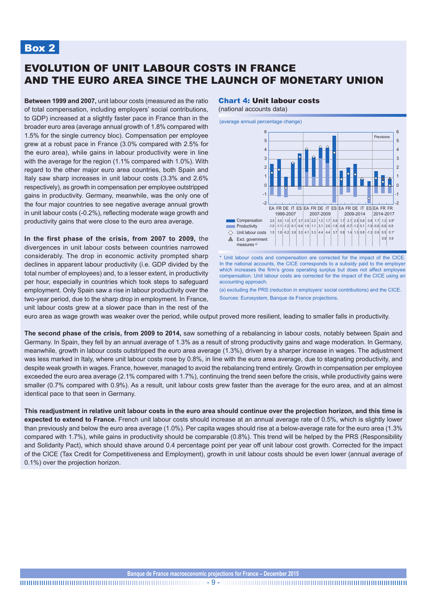### Box 2

### EVOLUTION OF UNIT LABOUR COSTS IN FRANCE AND THE EURO AREA SINCE THE LAUNCH OF MONETARY UNION

**Between 1999 and 2007,** unit labour costs (measured as the ratio of total compensation, including employers' social contributions, to GDP) increased at a slightly faster pace in France than in the broader euro area (average annual growth of 1.8% compared with 1.5% for the single currency bloc). Compensation per employee grew at a robust pace in France (3.0% compared with 2.5% for the euro area), while gains in labour productivity were in line with the average for the region (1.1% compared with 1.0%). With regard to the other major euro area countries, both Spain and Italy saw sharp increases in unit labour costs (3.3% and 2.6% respectively), as growth in compensation per employee outstripped gains in productivity. Germany, meanwhile, was the only one of the four major countries to see negative average annual growth in unit labour costs (-0.2%), reflecting moderate wage growth and productivity gains that were close to the euro area average.

**In the first phase of the crisis, from 2007 to 2009,** the divergences in unit labour costs between countries narrowed considerably. The drop in economic activity prompted sharp declines in apparent labour productivity (i.e. GDP divided by the total number of employees) and, to a lesser extent, in productivity per hour, especially in countries which took steps to safeguard employment. Only Spain saw a rise in labour productivity over the two-year period, due to the sharp drop in employment. In France, unit labour costs grew at a slower pace than in the rest of the

#### Chart 4: Unit labour costs

(national accounts data)





\* Unit labour costs and compensation are corrected for the impact of the CICE. In the national accounts, the CICE corresponds to a subsidy paid to the employer which increases the firm's gross operating surplus but does not affect employee compensation. Unit labour costs are corrected for the impact of the CICE using an accounting approach.

(a) excluding the PRS (reduction in employers' social contributions) and the CICE. Sources: Eurosystem, Banque de France projections.

euro area as wage growth was weaker over the period, while output proved more resilient, leading to smaller falls in productivity.

**The second phase of the crisis, from 2009 to 2014,** saw something of a rebalancing in labour costs, notably between Spain and Germany. In Spain, they fell by an annual average of 1.3% as a result of strong productivity gains and wage moderation. In Germany, meanwhile, growth in labour costs outstripped the euro area average (1.3%), driven by a sharper increase in wages. The adjustment was less marked in Italy, where unit labour costs rose by 0.8%, in line with the euro area average, due to stagnating productivity, and despite weak growth in wages. France, however, managed to avoid the rebalancing trend entirely. Growth in compensation per employee exceeded the euro area average (2.1% compared with 1.7%), continuing the trend seen before the crisis, while productivity gains were smaller (0.7% compared with 0.9%). As a result, unit labour costs grew faster than the average for the euro area, and at an almost identical pace to that seen in Germany.

**This readjustment in relative unit labour costs in the euro area should continue over the projection horizon, and this time is expected to extend to France.** French unit labour costs should increase at an annual average rate of 0.5%, which is slightly lower than previously and below the euro area average (1.0%). Per capita wages should rise at a below-average rate for the euro area (1.3% compared with 1.7%), while gains in productivity should be comparable (0.8%). This trend will be helped by the PRS (Responsibility and Solidarity Pact), which should shave around 0.4 percentage point per year off unit labour cost growth. Corrected for the impact of the CICE (Tax Credit for Competitiveness and Employment), growth in unit labour costs should be even lower (annual average of 0.1%) over the projection horizon.

- 9 -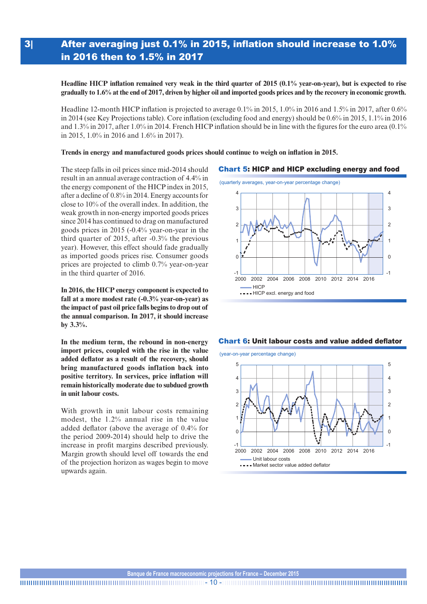### 3| After averaging just 0.1% in 2015, inflation should increase to 1.0% in 2016 then to 1.5% in 2017

**Headline HICP inflation remained very weak in the third quarter of 2015 (0.1% year-on-year), but is expected to rise gradually to 1.6% at the end of 2017, driven by higher oil and imported goods prices and by the recovery in economic growth.**

Headline 12-month HICP inflation is projected to average 0.1% in 2015, 1.0% in 2016 and 1.5% in 2017, after 0.6% in 2014 (see Key Projections table). Core inflation (excluding food and energy) should be 0.6% in 2015, 1.1% in 2016 and 1.3% in 2017, after 1.0% in 2014. French HICP inflation should be in line with the figures for the euro area  $(0.1\%$ in 2015, 1.0% in 2016 and 1.6% in 2017).

#### **Trends in energy and manufactured goods prices should continue to weigh on inflation in 2015.**

The steep falls in oil prices since mid-2014 should result in an annual average contraction of 4.4% in the energy component of the HICP index in 2015, after a decline of 0.8% in 2014. Energy accounts for close to 10% of the overall index. In addition, the weak growth in non-energy imported goods prices since 2014 has continued to drag on manufactured goods prices in 2015 (-0.4% year‑on‑year in the third quarter of 2015, after -0.3% the previous year). However, this effect should fade gradually as imported goods prices rise. Consumer goods prices are projected to climb 0.7% year-on-year in the third quarter of 2016.

**In 2016, the HICP energy component is expected to fall at a more modest rate (-0.3% year-on-year) as the impact of past oil price falls begins to drop out of the annual comparison. In 2017, it should increase by 3.3%.**

**In the medium term, the rebound in non-energy import prices, coupled with the rise in the value added deflator as a result of the recovery, should bring manufactured goods inflation back into positive territory. In services, price inflation will remain historically moderate due to subdued growth in unit labour costs.**

With growth in unit labour costs remaining modest, the 1.2% annual rise in the value added deflator (above the average of 0.4% for the period 2009‑2014) should help to drive the increase in profit margins described previously. Margin growth should level off towards the end of the projection horizon as wages begin to move upwards again.

#### Chart 5: HICP and HICP excluding energy and food





#### Chart 6: Unit labour costs and value added deflator

(year-on-year percentage change)



**Banque de France macroeconomic projections for France – December 2015**

- 10 -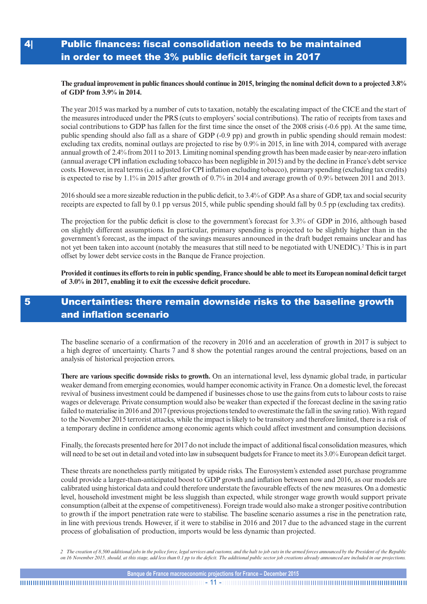### 4| Public finances: fiscal consolidation needs to be maintained in order to meet the 3% public deficit target in 2017

#### **The gradual improvement in public finances should continue in 2015, bringing the nominal deficit down to a projected 3.8% of GDP from 3.9% in 2014.**

The year 2015 was marked by a number of cuts to taxation, notably the escalating impact of the CICE and the start of the measures introduced under the PRS (cuts to employers' social contributions). The ratio of receipts from taxes and social contributions to GDP has fallen for the first time since the onset of the 2008 crisis (-0.6 pp). At the same time, public spending should also fall as a share of GDP (-0.9 pp) and growth in public spending should remain modest: excluding tax credits, nominal outlays are projected to rise by 0.9% in 2015, in line with 2014, compared with average annual growth of 2.4% from 2011 to 2013. Limiting nominal spending growth has been made easier by near-zero inflation (annual average CPI inflation excluding tobacco has been negligible in 2015) and by the decline in France's debt service costs. However, in real terms (i.e. adjusted for CPI inflation excluding tobacco), primary spending (excluding tax credits) is expected to rise by 1.1% in 2015 after growth of 0.7% in 2014 and average growth of 0.9% between 2011 and 2013.

2016 should see a more sizeable reduction in the public deficit, to 3.4% of GDP. As a share of GDP, tax and social security receipts are expected to fall by 0.1 pp versus 2015, while public spending should fall by 0.5 pp (excluding tax credits).

The projection for the public deficit is close to the government's forecast for 3.3% of GDP in 2016, although based on slightly different assumptions. In particular, primary spending is projected to be slightly higher than in the government's forecast, as the impact of the savings measures announced in the draft budget remains unclear and has not yet been taken into account (notably the measures that still need to be negotiated with UNEDIC).2 This is in part offset by lower debt service costs in the Banque de France projection.

**Provided it continues its efforts to rein in public spending, France should be able to meet its European nominal deficit target of 3.0% in 2017, enabling it to exit the excessive deficit procedure.**

### 5 Uncertainties: there remain downside risks to the baseline growth and inflation scenario

The baseline scenario of a confirmation of the recovery in 2016 and an acceleration of growth in 2017 is subject to a high degree of uncertainty. Charts 7 and 8 show the potential ranges around the central projections, based on an analysis of historical projection errors.

**There are various specific downside risks to growth.** On an international level, less dynamic global trade, in particular weaker demand from emerging economies, would hamper economic activity in France. On a domestic level, the forecast revival of business investment could be dampened if businesses chose to use the gains from cuts to labour costs to raise wages or deleverage. Private consumption would also be weaker than expected if the forecast decline in the saving ratio failed to materialise in 2016 and 2017 (previous projections tended to overestimate the fall in the saving ratio). With regard to the November 2015 terrorist attacks, while the impact is likely to be transitory and therefore limited, there is a risk of a temporary decline in confidence among economic agents which could affect investment and consumption decisions.

Finally, the forecasts presented here for 2017 do not include the impact of additional fiscal consolidation measures, which will need to be set out in detail and voted into law in subsequent budgets for France to meet its 3.0% European deficit target.

These threats are nonetheless partly mitigated by upside risks. The Eurosystem's extended asset purchase programme could provide a larger-than-anticipated boost to GDP growth and inflation between now and 2016, as our models are calibrated using historical data and could therefore understate the favourable effects of the new measures. On a domestic level, household investment might be less sluggish than expected, while stronger wage growth would support private consumption (albeit at the expense of competitiveness). Foreign trade would also make a stronger positive contribution to growth if the import penetration rate were to stabilise. The baseline scenario assumes a rise in the penetration rate, in line with previous trends. However, if it were to stabilise in 2016 and 2017 due to the advanced stage in the current process of globalisation of production, imports would be less dynamic than projected.

*2 The creation of 8,500 additional jobs in the police force, legal services and customs, and the halt to job cuts in the armed forces announced by the President of the Republic on 16 November 2015, should, at this stage, add less than 0.1 pp to the deficit. The additional public sector job creations already announced are included in our projections.*

- 11 -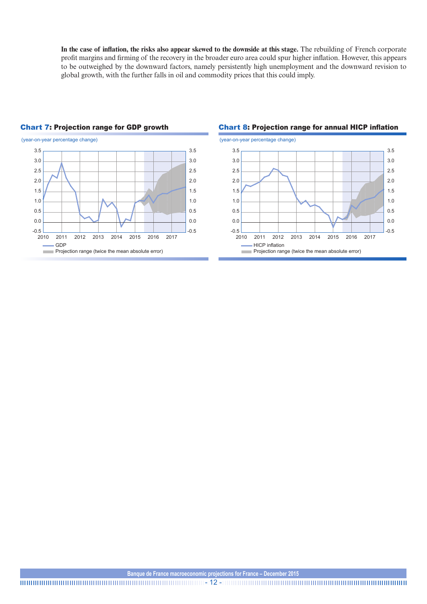**In the case of inflation, the risks also appear skewed to the downside at this stage.** The rebuilding of French corporate profit margins and firming of the recovery in the broader euro area could spur higher inflation. However, this appears to be outweighed by the downward factors, namely persistently high unemployment and the downward revision to global growth, with the further falls in oil and commodity prices that this could imply.



### Chart 7: Projection range for GDP growth Chart 8: Projection range for annual HICP inflation



#### **Banque de France macroeconomic projections for France – December 2015**

- 12 -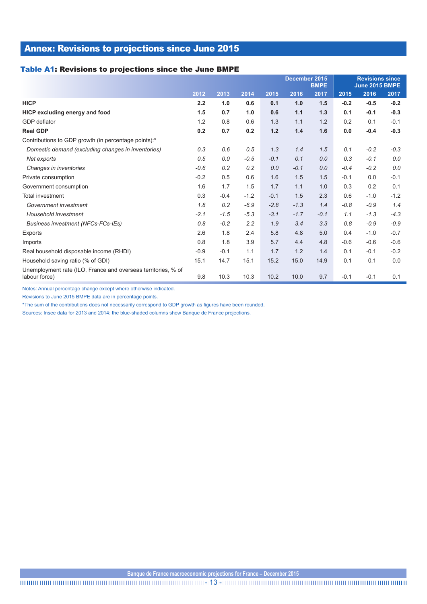### Annex: Revisions to projections since June 2015

#### Table A1: Revisions to projections since the June BMPE

|                                                                                |        |        |        | December 2015<br><b>BMPE</b> |        |        | <b>Revisions since</b><br><b>June 2015 BMPE</b> |        |        |
|--------------------------------------------------------------------------------|--------|--------|--------|------------------------------|--------|--------|-------------------------------------------------|--------|--------|
|                                                                                | 2012   | 2013   | 2014   | 2015                         | 2016   | 2017   | 2015                                            | 2016   | 2017   |
| <b>HICP</b>                                                                    | 2.2    | 1.0    | 0.6    | 0.1                          | 1.0    | 1.5    | $-0.2$                                          | $-0.5$ | $-0.2$ |
| HICP excluding energy and food                                                 | 1.5    | 0.7    | 1.0    | 0.6                          | 1.1    | 1.3    | 0.1                                             | $-0.1$ | $-0.3$ |
| GDP deflator                                                                   | 1.2    | 0.8    | 0.6    | 1.3                          | 1.1    | 1.2    | 0.2                                             | 0.1    | $-0.1$ |
| <b>Real GDP</b>                                                                | 0.2    | 0.7    | 0.2    | 1.2                          | 1.4    | 1.6    | 0.0                                             | $-0.4$ | $-0.3$ |
| Contributions to GDP growth (in percentage points):*                           |        |        |        |                              |        |        |                                                 |        |        |
| Domestic demand (excluding changes in inventories)                             | 0.3    | 0.6    | 0.5    | 1.3                          | 1.4    | 1.5    | 0.1                                             | $-0.2$ | $-0.3$ |
| Net exports                                                                    | 0.5    | 0.0    | $-0.5$ | $-0.1$                       | 0.1    | 0.0    | 0.3                                             | $-0.1$ | 0.0    |
| Changes in inventories                                                         | $-0.6$ | 0.2    | 0.2    | 0.0                          | $-0.1$ | 0.0    | $-0.4$                                          | $-0.2$ | 0.0    |
| Private consumption                                                            | $-0.2$ | 0.5    | 0.6    | 1.6                          | 1.5    | 1.5    | $-0.1$                                          | 0.0    | $-0.1$ |
| Government consumption                                                         | 1.6    | 1.7    | 1.5    | 1.7                          | 1.1    | 1.0    | 0.3                                             | 0.2    | 0.1    |
| Total investment                                                               | 0.3    | $-0.4$ | $-1.2$ | $-0.1$                       | 1.5    | 2.3    | 0.6                                             | $-1.0$ | $-1.2$ |
| Government investment                                                          | 1.8    | 0.2    | $-6.9$ | $-2.8$                       | $-1.3$ | 1.4    | $-0.8$                                          | $-0.9$ | 1.4    |
| Household investment                                                           | $-2.1$ | $-1.5$ | $-5.3$ | $-3.1$                       | $-1.7$ | $-0.1$ | 1.1                                             | $-1.3$ | $-4.3$ |
| <b>Business investment (NFCs-FCs-IEs)</b>                                      | 0.8    | $-0.2$ | 2.2    | 1.9                          | 3.4    | 3.3    | 0.8                                             | $-0.9$ | $-0.9$ |
| Exports                                                                        | 2.6    | 1.8    | 2.4    | 5.8                          | 4.8    | 5.0    | 0.4                                             | $-1.0$ | $-0.7$ |
| Imports                                                                        | 0.8    | 1.8    | 3.9    | 5.7                          | 4.4    | 4.8    | $-0.6$                                          | $-0.6$ | $-0.6$ |
| Real household disposable income (RHDI)                                        | $-0.9$ | $-0.1$ | 1.1    | 1.7                          | 1.2    | 1.4    | 0.1                                             | $-0.1$ | $-0.2$ |
| Household saving ratio (% of GDI)                                              | 15.1   | 14.7   | 15.1   | 15.2                         | 15.0   | 14.9   | 0.1                                             | 0.1    | 0.0    |
| Unemployment rate (ILO, France and overseas territories, % of<br>labour force) | 9.8    | 10.3   | 10.3   | 10.2                         | 10.0   | 9.7    | $-0.1$                                          | $-0.1$ | 0.1    |

Notes: Annual percentage change except where otherwise indicated.

Revisions to June 2015 BMPE data are in percentage points.

\*The sum of the contributions does not necessarily correspond to GDP growth as figures have been rounded.

Sources: Insee data for 2013 and 2014; the blue-shaded columns show Banque de France projections.